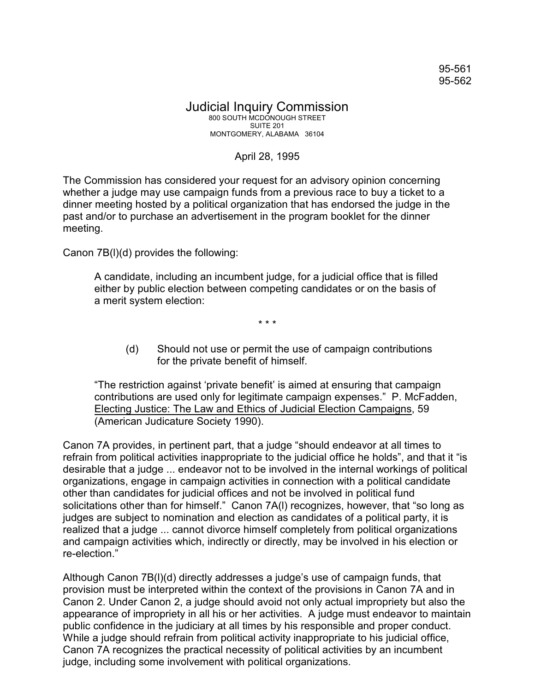## Judicial Inquiry Commission 800 SOUTH MCDONOUGH STREET SUITE 201 MONTGOMERY, ALABAMA 36104

## April 28, 1995

The Commission has considered your request for an advisory opinion concerning whether a judge may use campaign funds from a previous race to buy a ticket to a dinner meeting hosted by a political organization that has endorsed the judge in the past and/or to purchase an advertisement in the program booklet for the dinner meeting.

Canon 7B(l)(d) provides the following:

A candidate, including an incumbent judge, for a judicial office that is filled either by public election between competing candidates or on the basis of a merit system election:

\* \* \*

(d) Should not use or permit the use of campaign contributions for the private benefit of himself.

"The restriction against 'private benefit' is aimed at ensuring that campaign contributions are used only for legitimate campaign expenses." P. McFadden, Electing Justice: The Law and Ethics of Judicial Election Campaigns, 59 (American Judicature Society 1990).

Canon 7A provides, in pertinent part, that a judge "should endeavor at all times to refrain from political activities inappropriate to the judicial office he holds", and that it "is desirable that a judge ... endeavor not to be involved in the internal workings of political organizations, engage in campaign activities in connection with a political candidate other than candidates for judicial offices and not be involved in political fund solicitations other than for himself." Canon 7A(l) recognizes, however, that "so long as judges are subject to nomination and election as candidates of a political party, it is realized that a judge ... cannot divorce himself completely from political organizations and campaign activities which, indirectly or directly, may be involved in his election or re-election."

Although Canon 7B(l)(d) directly addresses a judge's use of campaign funds, that provision must be interpreted within the context of the provisions in Canon 7A and in Canon 2. Under Canon 2, a judge should avoid not only actual impropriety but also the appearance of impropriety in all his or her activities. A judge must endeavor to maintain public confidence in the judiciary at all times by his responsible and proper conduct. While a judge should refrain from political activity inappropriate to his judicial office, Canon 7A recognizes the practical necessity of political activities by an incumbent judge, including some involvement with political organizations.